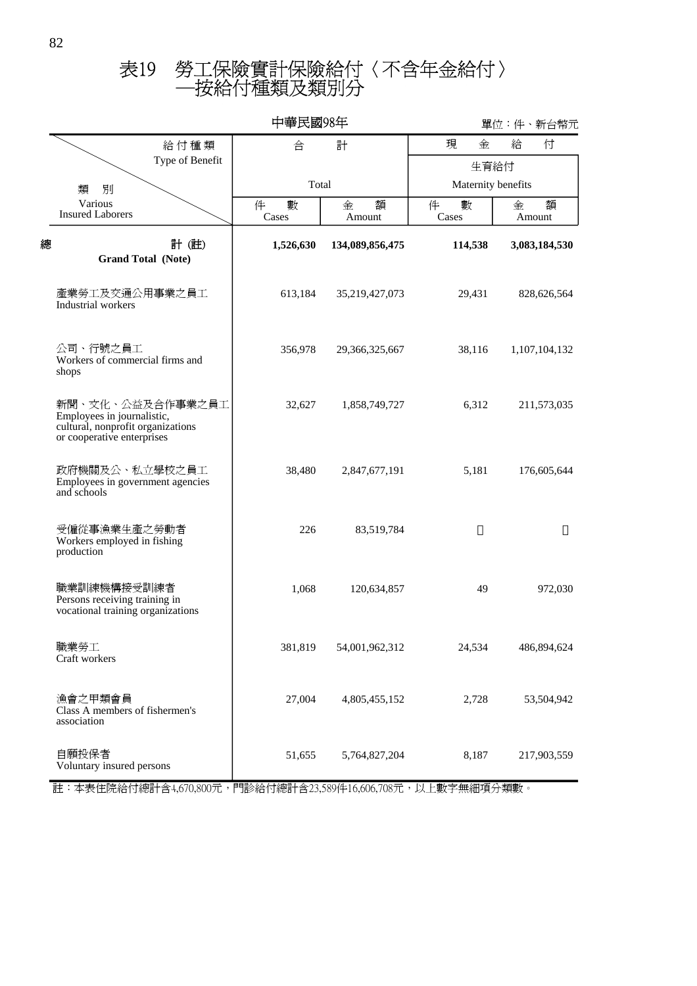## ─按給付種類及類別分 表19 勞工保險實計保險給付〈不含年金給付〉

|   |                                                                                                                   | 中華民國98年         |                  | 單位:件、新台幣元          |                  |  |
|---|-------------------------------------------------------------------------------------------------------------------|-----------------|------------------|--------------------|------------------|--|
|   | 給付種類                                                                                                              | 合               | 計                | 現<br>金             | 給<br>付           |  |
|   | Type of Benefit                                                                                                   |                 |                  | 生育給付               |                  |  |
|   | 類<br>別                                                                                                            | Total           |                  | Maternity benefits |                  |  |
|   | Various<br><b>Insured Laborers</b>                                                                                | 件<br>數<br>Cases | 額<br>金<br>Amount | 件<br>數<br>Cases    | 額<br>金<br>Amount |  |
| 總 | 計(註)<br><b>Grand Total (Note)</b>                                                                                 | 1,526,630       | 134,089,856,475  | 114,538            | 3,083,184,530    |  |
|   | 產業勞工及交通公用事業之員工<br>Industrial workers                                                                              | 613,184         | 35,219,427,073   | 29,431             | 828,626,564      |  |
|   | 公司、行號之員工<br>Workers of commercial firms and<br>shops                                                              | 356,978         | 29,366,325,667   | 38,116             | 1,107,104,132    |  |
|   | 新聞、文化、公益及合作事業之員工<br>Employees in journalistic,<br>cultural, nonprofit organizations<br>or cooperative enterprises | 32,627          | 1,858,749,727    | 6,312              | 211,573,035      |  |
|   | 政府機關及公、私立學校之員工<br>Employees in government agencies<br>and schools                                                 | 38,480          | 2,847,677,191    | 5,181              | 176,605,644      |  |
|   | 受僱從事漁業生產之勞動者<br>Workers employed in fishing<br>production                                                         | 226             | 83,519,784       |                    |                  |  |
|   | 職業訓練機構接受訓練者<br>Persons receiving training in<br>vocational training organizations                                 | 1,068           | 120,634,857      | 49                 | 972,030          |  |
|   | 職業勞工<br>Craft workers                                                                                             | 381,819         | 54,001,962,312   | 24,534             | 486,894,624      |  |
|   | 漁會之甲類會員<br>Class A members of fishermen's<br>association                                                          | 27,004          | 4,805,455,152    | 2,728              | 53,504,942       |  |
|   | 自願投保者<br>Voluntary insured persons                                                                                | 51,655          | 5,764,827,204    | 8,187              | 217,903,559      |  |

註:本表住院給付總計含4,670,800元,門診給付總計含23,589件16,606,708元,以上數字無細項分類數。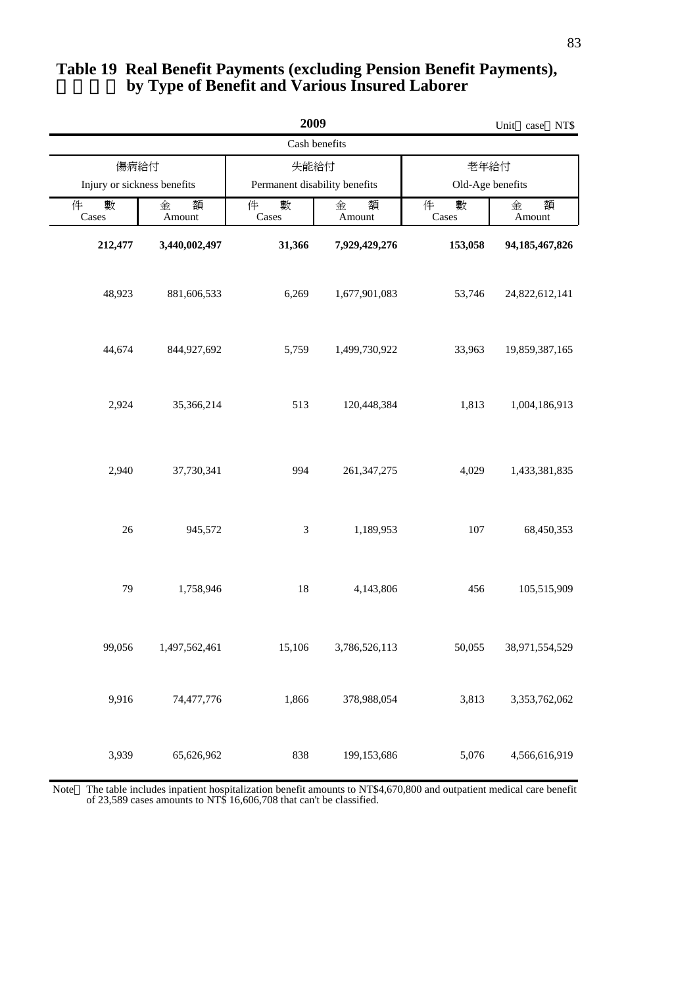|                 | 2009<br>Unit case           |                               |                  |                  |                   |  |
|-----------------|-----------------------------|-------------------------------|------------------|------------------|-------------------|--|
|                 |                             |                               | Cash benefits    |                  |                   |  |
| 傷病給付            |                             |                               | 失能給付             |                  | 老年給付              |  |
|                 | Injury or sickness benefits | Permanent disability benefits |                  | Old-Age benefits |                   |  |
| 數<br>件<br>Cases | 金<br>額<br>Amount            | 數<br>件<br>Cases               | 額<br>金<br>Amount | 件<br>數<br>Cases  | 額<br>金<br>Amount  |  |
| 212,477         | 3,440,002,497               | 31,366                        | 7,929,429,276    | 153,058          | 94, 185, 467, 826 |  |
| 48,923          | 881,606,533                 | 6,269                         | 1,677,901,083    | 53,746           | 24,822,612,141    |  |
| 44,674          | 844,927,692                 | 5,759                         | 1,499,730,922    | 33,963           | 19,859,387,165    |  |
| 2,924           | 35,366,214                  | 513                           | 120,448,384      | 1,813            | 1,004,186,913     |  |
| 2,940           | 37,730,341                  | 994                           | 261, 347, 275    | 4,029            | 1,433,381,835     |  |
| $26\,$          | 945,572                     | $\mathfrak{Z}$                | 1,189,953        | 107              | 68,450,353        |  |
| 79              | 1,758,946                   | 18                            | 4,143,806        | 456              | 105,515,909       |  |
| 99,056          | 1,497,562,461               | 15,106                        | 3,786,526,113    | 50,055           | 38,971,554,529    |  |
| 9,916           | 74,477,776                  | 1,866                         | 378,988,054      | 3,813            | 3,353,762,062     |  |

## **by Type of Benefit and Various Insured Laborer Table 19 Real Benefit Payments (excluding Pension Benefit Payments),**

 of 23,589 cases amounts to NT\$ 16,606,708 that can't be classified. The table includes inpatient hospitalization benefit amounts to NT\$4,670,800 and outpatient medical care benefit Note

199,153,686

5,076

4,566,616,919

838

3,939

65,626,962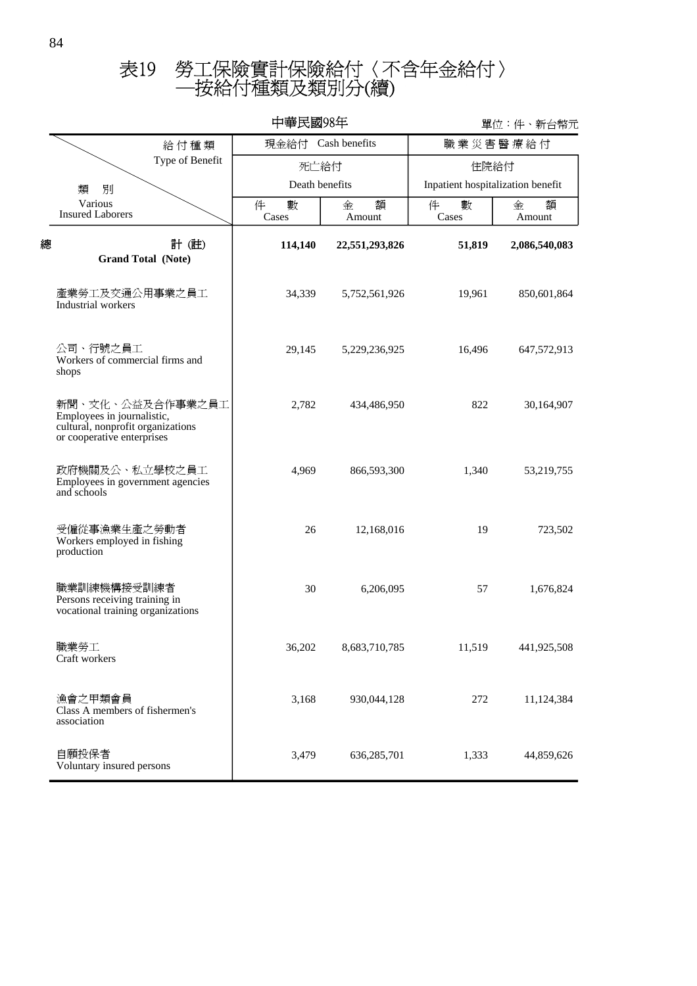## ─按給付種類及類別分(續) 表19 勞工保險實計保險給付〈不含年金給付〉

|                                                                                                                   |  | 中華民國98年            |                  | 單位:件、新台幣元                         |                  |  |
|-------------------------------------------------------------------------------------------------------------------|--|--------------------|------------------|-----------------------------------|------------------|--|
| 給付種類<br>Type of Benefit                                                                                           |  | 現金給付 Cash benefits |                  | 職業災害醫療給付                          |                  |  |
|                                                                                                                   |  | 死亡給付               |                  | 住院給付                              |                  |  |
| 類<br>別                                                                                                            |  | Death benefits     |                  | Inpatient hospitalization benefit |                  |  |
| Various<br><b>Insured Laborers</b>                                                                                |  | 件<br>數<br>Cases    | 額<br>金<br>Amount | 件<br>數<br>Cases                   | 金<br>額<br>Amount |  |
| 計(註)<br>總<br><b>Grand Total (Note)</b>                                                                            |  | 114,140            | 22,551,293,826   | 51,819                            | 2,086,540,083    |  |
| 產業勞工及交通公用事業之員工<br>Industrial workers                                                                              |  | 34,339             | 5,752,561,926    | 19,961                            | 850,601,864      |  |
| 公司、行號之員工<br>Workers of commercial firms and<br>shops                                                              |  | 29,145             | 5,229,236,925    | 16,496                            | 647,572,913      |  |
| 新聞、文化、公益及合作事業之員工<br>Employees in journalistic,<br>cultural, nonprofit organizations<br>or cooperative enterprises |  | 2,782              | 434,486,950      | 822                               | 30,164,907       |  |
| 政府機關及公、私立學校之員工<br>Employees in government agencies<br>and schools                                                 |  | 4,969              | 866,593,300      | 1,340                             | 53,219,755       |  |
| 受僱從事漁業生產之勞動者<br>Workers employed in fishing<br>production                                                         |  | 26                 | 12,168,016       | 19                                | 723,502          |  |
| 職業訓練機構接受訓練者<br>Persons receiving training in<br>vocational training organizations                                 |  | 30                 | 6,206,095        | 57                                | 1,676,824        |  |
| 職業勞工<br>Craft workers                                                                                             |  | 36,202             | 8,683,710,785    | 11,519                            | 441,925,508      |  |
| 漁會之甲類會員<br>Class A members of fishermen's<br>association                                                          |  | 3,168              | 930,044,128      | 272                               | 11,124,384       |  |
| 自願投保者<br>Voluntary insured persons                                                                                |  | 3,479              | 636,285,701      | 1,333                             | 44,859,626       |  |